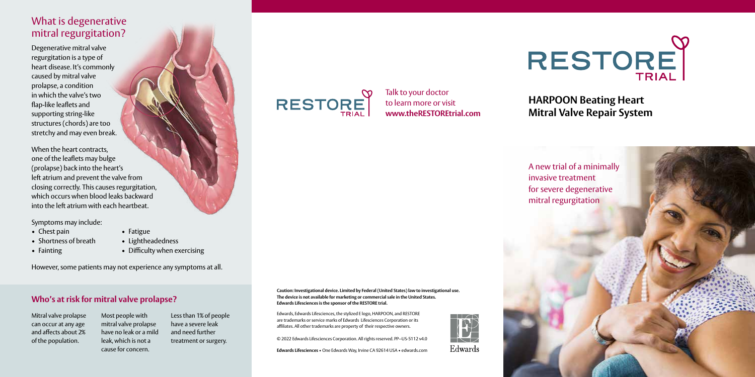# What is degenerative mitral regurgitation?

Degenerative mitral valve regurgitation is a type of heart disease. It's commonly caused by mitral valve prolapse, a condition in which the valve's two flap-like leaflets and supporting string-like structures (chords) are too stretchy and may even break.

When the heart contracts, one of the leaflets may bulge (prolapse) back into the heart's left atrium and prevent the valve from closing correctly. This causes regurgitation, which occurs when blood leaks backward into the left atrium with each heartbeat.

Symptoms may include:

- Chest pain Fatigue
- Shortness of breath Lightheadedness
- 
- Fainting Difficulty when exercising

However, some patients may not experience any symptoms at all.

#### **Who's at risk for mitral valve prolapse?**

Mitral valve prolapse can occur at any age and affects about 2% of the population.

Most people with mitral valve prolapse have no leak or a mild leak, which is not a cause for concern. Less than 1% of people have a severe leak and need further treatment or surgery.

**Caution: Investigational device. Limited by Federal (United States) law to investigational use. The device is not available for marketing or commercial sale in the United States. Edwards Lifesciences is the sponsor of the RESTORE trial.**

Edwards, Edwards Lifesciences, the stylized E logo, HARPOON, and RESTORE are trademarks or service marks of Edwards Lifesciences Corporation or its affiliates. All other trademarks are property of their respective owners.

© 2022 Edwards Lifesciences Corporation. All rights reserved. PP--US-5112 v4.0

**Edwards Lifesciences** • One Edwards Way, Irvine CA 92614 USA • edwards.com



**RESTORE** 

Talk to your doctor to learn more or visit **www.theRESTOREtrial.com**

**HARPOON Beating Heart Mitral Valve Repair System**

A new trial of a minimally invasive treatment for severe degenerative mitral regurgitation